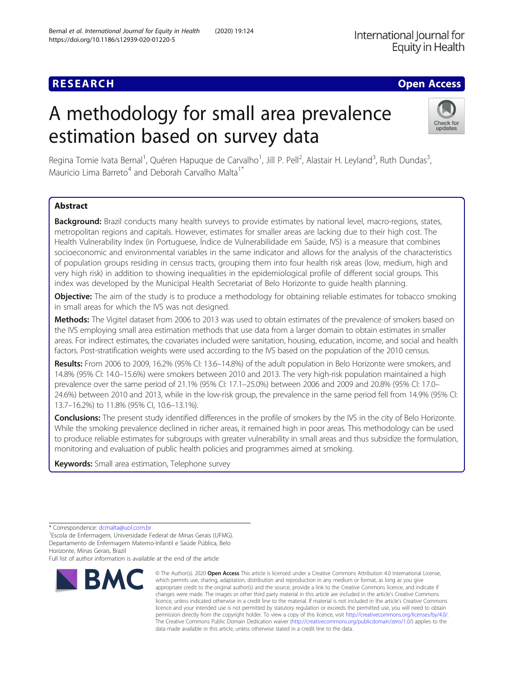International Journal for Equity in Health

# **RESEARCH CHE Open Access**

# A methodology for small area prevalence estimation based on survey data



Regina Tomie Ivata Bernal<sup>1</sup>, Quéren Hapuque de Carvalho<sup>1</sup>, Jill P. Pell<sup>2</sup>, Alastair H. Leyland<sup>3</sup>, Ruth Dundas<sup>3</sup> , Mauricio Lima Barreto<sup>4</sup> and Deborah Carvalho Malta<sup>1</sup><sup>\*</sup>

## Abstract

Background: Brazil conducts many health surveys to provide estimates by national level, macro-regions, states, metropolitan regions and capitals. However, estimates for smaller areas are lacking due to their high cost. The Health Vulnerability Index (in Portuguese, Índice de Vulnerabilidade em Saúde, IVS) is a measure that combines socioeconomic and environmental variables in the same indicator and allows for the analysis of the characteristics of population groups residing in census tracts, grouping them into four health risk areas (low, medium, high and very high risk) in addition to showing inequalities in the epidemiological profile of different social groups. This index was developed by the Municipal Health Secretariat of Belo Horizonte to guide health planning.

**Objective:** The aim of the study is to produce a methodology for obtaining reliable estimates for tobacco smoking in small areas for which the IVS was not designed.

Methods: The Vigitel dataset from 2006 to 2013 was used to obtain estimates of the prevalence of smokers based on the IVS employing small area estimation methods that use data from a larger domain to obtain estimates in smaller areas. For indirect estimates, the covariates included were sanitation, housing, education, income, and social and health factors. Post-stratification weights were used according to the IVS based on the population of the 2010 census.

Results: From 2006 to 2009, 16.2% (95% CI: 13.6–14.8%) of the adult population in Belo Horizonte were smokers, and 14.8% (95% CI: 14.0–15.6%) were smokers between 2010 and 2013. The very high-risk population maintained a high prevalence over the same period of 21.1% (95% CI: 17.1–25.0%) between 2006 and 2009 and 20.8% (95% CI: 17.0– 24.6%) between 2010 and 2013, while in the low-risk group, the prevalence in the same period fell from 14.9% (95% CI: 13.7–16.2%) to 11.8% (95% CI, 10.6–13.1%).

Conclusions: The present study identified differences in the profile of smokers by the IVS in the city of Belo Horizonte. While the smoking prevalence declined in richer areas, it remained high in poor areas. This methodology can be used to produce reliable estimates for subgroups with greater vulnerability in small areas and thus subsidize the formulation, monitoring and evaluation of public health policies and programmes aimed at smoking.

Keywords: Small area estimation, Telephone survey

Full list of author information is available at the end of the article



<sup>©</sup> The Author(s), 2020 **Open Access** This article is licensed under a Creative Commons Attribution 4.0 International License, which permits use, sharing, adaptation, distribution and reproduction in any medium or format, as long as you give appropriate credit to the original author(s) and the source, provide a link to the Creative Commons licence, and indicate if changes were made. The images or other third party material in this article are included in the article's Creative Commons licence, unless indicated otherwise in a credit line to the material. If material is not included in the article's Creative Commons licence and your intended use is not permitted by statutory regulation or exceeds the permitted use, you will need to obtain permission directly from the copyright holder. To view a copy of this licence, visit [http://creativecommons.org/licenses/by/4.0/.](http://creativecommons.org/licenses/by/4.0/) The Creative Commons Public Domain Dedication waiver [\(http://creativecommons.org/publicdomain/zero/1.0/](http://creativecommons.org/publicdomain/zero/1.0/)) applies to the data made available in this article, unless otherwise stated in a credit line to the data.

<sup>\*</sup> Correspondence: [dcmalta@uol.com.br](mailto:dcmalta@uol.com.br) <sup>1</sup>

Escola de Enfermagem, Universidade Federal de Minas Gerais (UFMG). Departamento de Enfermagem Materno-Infantil e Saúde Pública, Belo Horizonte, Minas Gerais, Brazil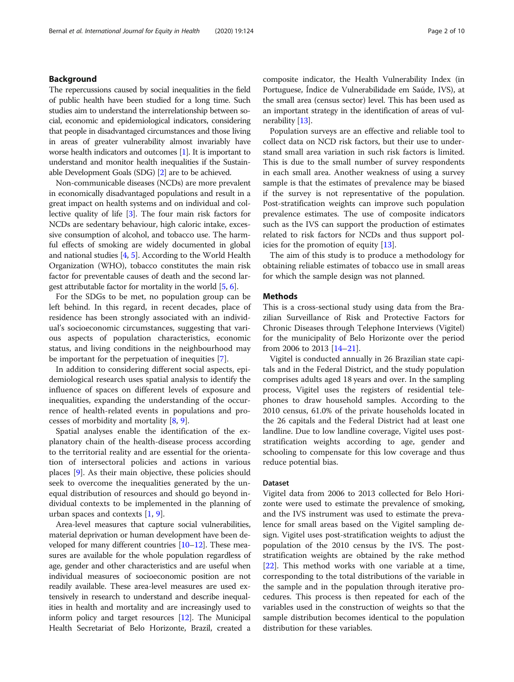### Background

The repercussions caused by social inequalities in the field of public health have been studied for a long time. Such studies aim to understand the interrelationship between social, economic and epidemiological indicators, considering that people in disadvantaged circumstances and those living in areas of greater vulnerability almost invariably have worse health indicators and outcomes [[1\]](#page-8-0). It is important to understand and monitor health inequalities if the Sustainable Development Goals (SDG) [\[2](#page-8-0)] are to be achieved.

Non-communicable diseases (NCDs) are more prevalent in economically disadvantaged populations and result in a great impact on health systems and on individual and collective quality of life [\[3\]](#page-8-0). The four main risk factors for NCDs are sedentary behaviour, high caloric intake, excessive consumption of alcohol, and tobacco use. The harmful effects of smoking are widely documented in global and national studies [\[4](#page-8-0), [5\]](#page-8-0). According to the World Health Organization (WHO), tobacco constitutes the main risk factor for preventable causes of death and the second largest attributable factor for mortality in the world [[5,](#page-8-0) [6](#page-8-0)].

For the SDGs to be met, no population group can be left behind. In this regard, in recent decades, place of residence has been strongly associated with an individual's socioeconomic circumstances, suggesting that various aspects of population characteristics, economic status, and living conditions in the neighbourhood may be important for the perpetuation of inequities [[7\]](#page-8-0).

In addition to considering different social aspects, epidemiological research uses spatial analysis to identify the influence of spaces on different levels of exposure and inequalities, expanding the understanding of the occurrence of health-related events in populations and processes of morbidity and mortality [\[8](#page-8-0), [9](#page-8-0)].

Spatial analyses enable the identification of the explanatory chain of the health-disease process according to the territorial reality and are essential for the orientation of intersectoral policies and actions in various places [\[9](#page-8-0)]. As their main objective, these policies should seek to overcome the inequalities generated by the unequal distribution of resources and should go beyond individual contexts to be implemented in the planning of urban spaces and contexts [[1,](#page-8-0) [9\]](#page-8-0).

Area-level measures that capture social vulnerabilities, material deprivation or human development have been developed for many different countries [\[10](#page-8-0)–[12\]](#page-8-0). These measures are available for the whole population regardless of age, gender and other characteristics and are useful when individual measures of socioeconomic position are not readily available. These area-level measures are used extensively in research to understand and describe inequalities in health and mortality and are increasingly used to inform policy and target resources [[12](#page-8-0)]. The Municipal Health Secretariat of Belo Horizonte, Brazil, created a composite indicator, the Health Vulnerability Index (in Portuguese, Índice de Vulnerabilidade em Saúde, IVS), at the small area (census sector) level. This has been used as an important strategy in the identification of areas of vulnerability [\[13](#page-8-0)].

Population surveys are an effective and reliable tool to collect data on NCD risk factors, but their use to understand small area variation in such risk factors is limited. This is due to the small number of survey respondents in each small area. Another weakness of using a survey sample is that the estimates of prevalence may be biased if the survey is not representative of the population. Post-stratification weights can improve such population prevalence estimates. The use of composite indicators such as the IVS can support the production of estimates related to risk factors for NCDs and thus support policies for the promotion of equity [\[13](#page-8-0)].

The aim of this study is to produce a methodology for obtaining reliable estimates of tobacco use in small areas for which the sample design was not planned.

#### **Methods**

This is a cross-sectional study using data from the Brazilian Surveillance of Risk and Protective Factors for Chronic Diseases through Telephone Interviews (Vigitel) for the municipality of Belo Horizonte over the period from 2006 to 2013 [\[14](#page-8-0)–[21\]](#page-8-0).

Vigitel is conducted annually in 26 Brazilian state capitals and in the Federal District, and the study population comprises adults aged 18 years and over. In the sampling process, Vigitel uses the registers of residential telephones to draw household samples. According to the 2010 census, 61.0% of the private households located in the 26 capitals and the Federal District had at least one landline. Due to low landline coverage, Vigitel uses poststratification weights according to age, gender and schooling to compensate for this low coverage and thus reduce potential bias.

#### Dataset

Vigitel data from 2006 to 2013 collected for Belo Horizonte were used to estimate the prevalence of smoking, and the IVS instrument was used to estimate the prevalence for small areas based on the Vigitel sampling design. Vigitel uses post-stratification weights to adjust the population of the 2010 census by the IVS. The poststratification weights are obtained by the rake method [[22\]](#page-8-0). This method works with one variable at a time, corresponding to the total distributions of the variable in the sample and in the population through iterative procedures. This process is then repeated for each of the variables used in the construction of weights so that the sample distribution becomes identical to the population distribution for these variables.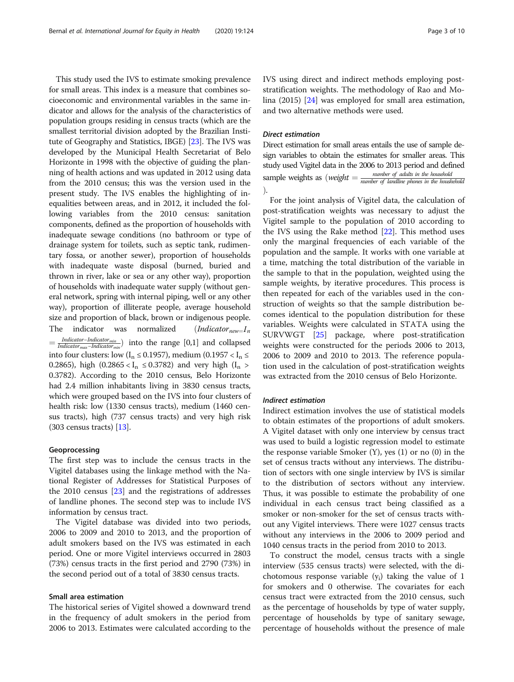This study used the IVS to estimate smoking prevalence for small areas. This index is a measure that combines socioeconomic and environmental variables in the same indicator and allows for the analysis of the characteristics of population groups residing in census tracts (which are the smallest territorial division adopted by the Brazilian Institute of Geography and Statistics, IBGE) [\[23\]](#page-8-0). The IVS was developed by the Municipal Health Secretariat of Belo Horizonte in 1998 with the objective of guiding the planning of health actions and was updated in 2012 using data from the 2010 census; this was the version used in the present study. The IVS enables the highlighting of inequalities between areas, and in 2012, it included the following variables from the 2010 census: sanitation components, defined as the proportion of households with inadequate sewage conditions (no bathroom or type of drainage system for toilets, such as septic tank, rudimentary fossa, or another sewer), proportion of households with inadequate waste disposal (burned, buried and thrown in river, lake or sea or any other way), proportion of households with inadequate water supply (without general network, spring with internal piping, well or any other way), proportion of illiterate people, average household size and proportion of black, brown or indigenous people. The indicator was normalized  $(Indication_{new=1n})$  $=$  *Indicator–Indicator<sub>min</sub>*) into the range [0,1] and collapsed into four clusters: low ( $I_n \le 0.1957$ ), medium (0.1957 <  $I_n \le$ 0.2865), high (0.2865 <  $I_n \le 0.3782$ ) and very high ( $I_n >$ 0.3782). According to the 2010 census, Belo Horizonte had 2.4 million inhabitants living in 3830 census tracts, which were grouped based on the IVS into four clusters of health risk: low (1330 census tracts), medium (1460 census tracts), high (737 census tracts) and very high risk (303 census tracts) [\[13\]](#page-8-0).

#### Geoprocessing

The first step was to include the census tracts in the Vigitel databases using the linkage method with the National Register of Addresses for Statistical Purposes of the 2010 census [[23\]](#page-8-0) and the registrations of addresses of landline phones. The second step was to include IVS information by census tract.

The Vigitel database was divided into two periods, 2006 to 2009 and 2010 to 2013, and the proportion of adult smokers based on the IVS was estimated in each period. One or more Vigitel interviews occurred in 2803 (73%) census tracts in the first period and 2790 (73%) in the second period out of a total of 3830 census tracts.

#### Small area estimation

The historical series of Vigitel showed a downward trend in the frequency of adult smokers in the period from 2006 to 2013. Estimates were calculated according to the IVS using direct and indirect methods employing poststratification weights. The methodology of Rao and Molina (2015) [[24](#page-8-0)] was employed for small area estimation, and two alternative methods were used.

#### Direct estimation

Direct estimation for small areas entails the use of sample design variables to obtain the estimates for smaller areas. This study used Vigitel data in the 2006 to 2013 period and defined sample weights as (weight  $=\frac{number\ of\ adults\ in\ the\ household}{number\ of\ adult\ phones\ in\ the\ household}$ Þ.

For the joint analysis of Vigitel data, the calculation of post-stratification weights was necessary to adjust the Vigitel sample to the population of 2010 according to the IVS using the Rake method [[22\]](#page-8-0). This method uses only the marginal frequencies of each variable of the population and the sample. It works with one variable at a time, matching the total distribution of the variable in the sample to that in the population, weighted using the sample weights, by iterative procedures. This process is then repeated for each of the variables used in the construction of weights so that the sample distribution becomes identical to the population distribution for these variables. Weights were calculated in STATA using the SURVWGT [[25\]](#page-8-0) package, where post-stratification weights were constructed for the periods 2006 to 2013, 2006 to 2009 and 2010 to 2013. The reference population used in the calculation of post-stratification weights was extracted from the 2010 census of Belo Horizonte.

#### Indirect estimation

Indirect estimation involves the use of statistical models to obtain estimates of the proportions of adult smokers. A Vigitel dataset with only one interview by census tract was used to build a logistic regression model to estimate the response variable Smoker  $(Y)$ , yes  $(1)$  or no  $(0)$  in the set of census tracts without any interviews. The distribution of sectors with one single interview by IVS is similar to the distribution of sectors without any interview. Thus, it was possible to estimate the probability of one individual in each census tract being classified as a smoker or non-smoker for the set of census tracts without any Vigitel interviews. There were 1027 census tracts without any interviews in the 2006 to 2009 period and 1040 census tracts in the period from 2010 to 2013.

To construct the model, census tracts with a single interview (535 census tracts) were selected, with the dichotomous response variable  $(y_i)$  taking the value of 1 for smokers and 0 otherwise. The covariates for each census tract were extracted from the 2010 census, such as the percentage of households by type of water supply, percentage of households by type of sanitary sewage, percentage of households without the presence of male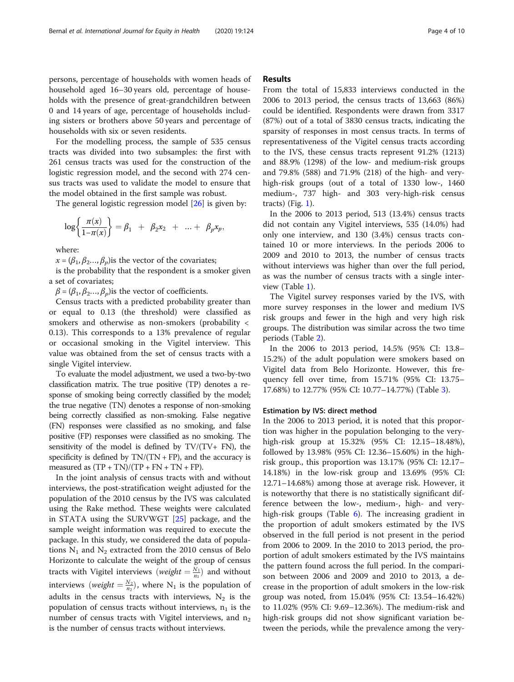persons, percentage of households with women heads of household aged 16–30 years old, percentage of households with the presence of great-grandchildren between 0 and 14 years of age, percentage of households including sisters or brothers above 50 years and percentage of households with six or seven residents.

For the modelling process, the sample of 535 census tracts was divided into two subsamples: the first with 261 census tracts was used for the construction of the logistic regression model, and the second with 274 census tracts was used to validate the model to ensure that the model obtained in the first sample was robust.

The general logistic regression model [\[26](#page-8-0)] is given by:

$$
\log\bigg\{\frac{\pi(x)}{1-\pi(x)}\bigg\} = \beta_1 + \beta_2 x_2 + \ldots + \beta_p x_p,
$$

where:

 $x = (\beta_1, \beta_2, \ldots, \beta_n)$  is the vector of the covariates;

is the probability that the respondent is a smoker given a set of covariates;

 $\beta = (\beta_1, \beta_2, \ldots, \beta_p)$  is the vector of coefficients.

Census tracts with a predicted probability greater than or equal to 0.13 (the threshold) were classified as smokers and otherwise as non-smokers (probability < 0.13). This corresponds to a 13% prevalence of regular or occasional smoking in the Vigitel interview. This value was obtained from the set of census tracts with a single Vigitel interview.

To evaluate the model adjustment, we used a two-by-two classification matrix. The true positive (TP) denotes a response of smoking being correctly classified by the model; the true negative (TN) denotes a response of non-smoking being correctly classified as non-smoking. False negative (FN) responses were classified as no smoking, and false positive (FP) responses were classified as no smoking. The sensitivity of the model is defined by  $TV/(TV+FN)$ , the specificity is defined by  $TN/(TN + FP)$ , and the accuracy is measured as  $(TP + TN)/(TP + FN + TN + FP)$ .

In the joint analysis of census tracts with and without interviews, the post-stratification weight adjusted for the population of the 2010 census by the IVS was calculated using the Rake method. These weights were calculated in STATA using the SURVWGT [\[25\]](#page-8-0) package, and the sample weight information was required to execute the package. In this study, we considered the data of populations  $N_1$  and  $N_2$  extracted from the 2010 census of Belo Horizonte to calculate the weight of the group of census tracts with Vigitel interviews (*weight*  $=$   $\frac{N_1}{n_1}$ ) and without interviews (*weight*  $= \frac{N_2}{n_2}$ ), where N<sub>1</sub> is the population of adults in the census tracts with interviews,  $N_2$  is the population of census tracts without interviews,  $n_1$  is the number of census tracts with Vigitel interviews, and  $n_2$ is the number of census tracts without interviews.

#### Results

From the total of 15,833 interviews conducted in the 2006 to 2013 period, the census tracts of 13,663 (86%) could be identified. Respondents were drawn from 3317 (87%) out of a total of 3830 census tracts, indicating the sparsity of responses in most census tracts. In terms of representativeness of the Vigitel census tracts according to the IVS, these census tracts represent 91.2% (1213) and 88.9% (1298) of the low- and medium-risk groups and 79.8% (588) and 71.9% (218) of the high- and veryhigh-risk groups (out of a total of 1330 low-, 1460 medium-, 737 high- and 303 very-high-risk census tracts) (Fig.  $1$ ).

In the 2006 to 2013 period, 513 (13.4%) census tracts did not contain any Vigitel interviews, 535 (14.0%) had only one interview, and 130 (3.4%) census tracts contained 10 or more interviews. In the periods 2006 to 2009 and 2010 to 2013, the number of census tracts without interviews was higher than over the full period, as was the number of census tracts with a single interview (Table [1\)](#page-5-0).

The Vigitel survey responses varied by the IVS, with more survey responses in the lower and medium IVS risk groups and fewer in the high and very high risk groups. The distribution was similar across the two time periods (Table [2\)](#page-5-0).

In the 2006 to 2013 period, 14.5% (95% CI: 13.8– 15.2%) of the adult population were smokers based on Vigitel data from Belo Horizonte. However, this frequency fell over time, from 15.71% (95% CI: 13.75– 17.68%) to 12.77% (95% CI: 10.77–14.77%) (Table [3\)](#page-5-0).

#### Estimation by IVS: direct method

In the 2006 to 2013 period, it is noted that this proportion was higher in the population belonging to the veryhigh-risk group at 15.32% (95% CI: 12.15–18.48%), followed by 13.98% (95% CI: 12.36–15.60%) in the highrisk group., this proportion was 13.17% (95% CI: 12.17– 14.18%) in the low-risk group and 13.69% (95% CI: 12.71–14.68%) among those at average risk. However, it is noteworthy that there is no statistically significant difference between the low-, medium-, high- and veryhigh-risk groups (Table [6\)](#page-7-0). The increasing gradient in the proportion of adult smokers estimated by the IVS observed in the full period is not present in the period from 2006 to 2009. In the 2010 to 2013 period, the proportion of adult smokers estimated by the IVS maintains the pattern found across the full period. In the comparison between 2006 and 2009 and 2010 to 2013, a decrease in the proportion of adult smokers in the low-risk group was noted, from 15.04% (95% CI: 13.54–16.42%) to 11.02% (95% CI: 9.69–12.36%). The medium-risk and high-risk groups did not show significant variation between the periods, while the prevalence among the very-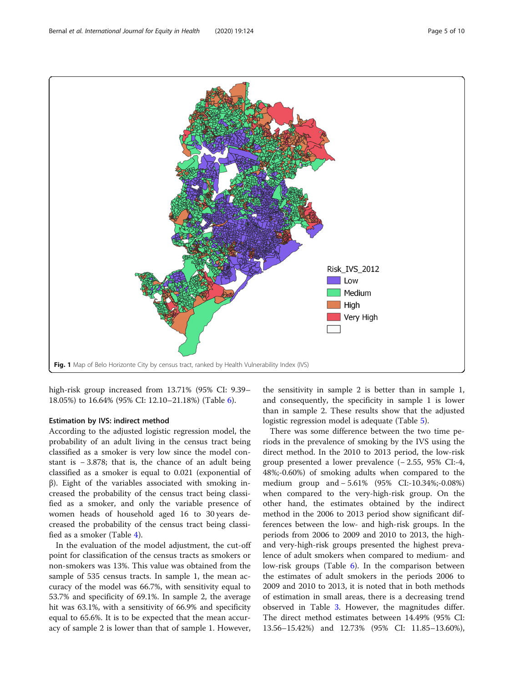<span id="page-4-0"></span>

high-risk group increased from 13.71% (95% CI: 9.39– 18.05%) to 16.64% (95% CI: 12.10–21.18%) (Table [6](#page-7-0)).

#### Estimation by IVS: indirect method

According to the adjusted logistic regression model, the probability of an adult living in the census tract being classified as a smoker is very low since the model constant is − 3.878; that is, the chance of an adult being classified as a smoker is equal to 0.021 (exponential of β). Eight of the variables associated with smoking increased the probability of the census tract being classified as a smoker, and only the variable presence of women heads of household aged 16 to 30 years decreased the probability of the census tract being classified as a smoker (Table [4](#page-6-0)).

In the evaluation of the model adjustment, the cut-off point for classification of the census tracts as smokers or non-smokers was 13%. This value was obtained from the sample of 535 census tracts. In sample 1, the mean accuracy of the model was 66.7%, with sensitivity equal to 53.7% and specificity of 69.1%. In sample 2, the average hit was 63.1%, with a sensitivity of 66.9% and specificity equal to 65.6%. It is to be expected that the mean accuracy of sample 2 is lower than that of sample 1. However,

the sensitivity in sample 2 is better than in sample 1, and consequently, the specificity in sample 1 is lower than in sample 2. These results show that the adjusted logistic regression model is adequate (Table [5](#page-6-0)).

There was some difference between the two time periods in the prevalence of smoking by the IVS using the direct method. In the 2010 to 2013 period, the low-risk group presented a lower prevalence (− 2.55, 95% CI:-4, 48%;-0.60%) of smoking adults when compared to the medium group and − 5.61% (95% CI:-10.34%;-0.08%) when compared to the very-high-risk group. On the other hand, the estimates obtained by the indirect method in the 2006 to 2013 period show significant differences between the low- and high-risk groups. In the periods from 2006 to 2009 and 2010 to 2013, the highand very-high-risk groups presented the highest prevalence of adult smokers when compared to medium- and low-risk groups (Table [6\)](#page-7-0). In the comparison between the estimates of adult smokers in the periods 2006 to 2009 and 2010 to 2013, it is noted that in both methods of estimation in small areas, there is a decreasing trend observed in Table [3.](#page-5-0) However, the magnitudes differ. The direct method estimates between 14.49% (95% CI: 13.56–15.42%) and 12.73% (95% CI: 11.85–13.60%),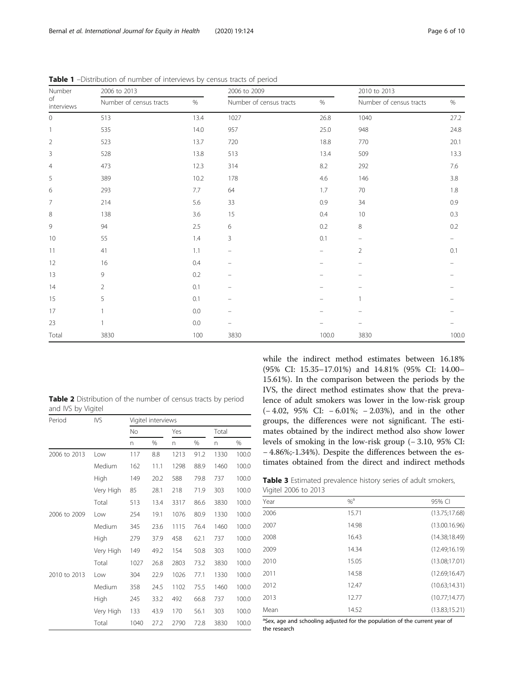| Number<br>of<br>interviews | 2006 to 2013            |         | 2006 to 2009             |         | 2010 to 2013            |         |
|----------------------------|-------------------------|---------|--------------------------|---------|-------------------------|---------|
|                            | Number of census tracts | %       | Number of census tracts  | $\%$    | Number of census tracts | $\%$    |
| $\mathbf 0$                | 513                     | 13.4    | 1027                     | 26.8    | 1040                    | 27.2    |
|                            | 535                     | 14.0    | 957                      | 25.0    | 948                     | 24.8    |
| $\overline{2}$             | 523                     | 13.7    | 720                      | 18.8    | 770                     | 20.1    |
| 3                          | 528                     | 13.8    | 513                      | 13.4    | 509                     | 13.3    |
| $\overline{4}$             | 473                     | 12.3    | 314                      | 8.2     | 292                     | 7.6     |
| 5                          | 389                     | 10.2    | 178                      | 4.6     | 146                     | $3.8\,$ |
| 6                          | 293                     | 7.7     | 64                       | 1.7     | 70                      | 1.8     |
| $\overline{7}$             | 214                     | 5.6     | 33                       | 0.9     | 34                      | 0.9     |
| 8                          | 138                     | 3.6     | 15                       | 0.4     | 10                      | 0.3     |
| $\,9$                      | 94                      | $2.5\,$ | 6                        | $0.2\,$ | 8                       | 0.2     |
| 10                         | 55                      | 1.4     | 3                        | 0.1     | -                       | -       |
| 11                         | 41                      | 1.1     | $\overline{\phantom{m}}$ | -       | 2                       | 0.1     |
| 12                         | 16                      | 0.4     |                          |         |                         |         |
| 13                         | 9                       | 0.2     |                          |         |                         |         |
| 14                         | $\overline{2}$          | 0.1     |                          |         |                         |         |
| 15                         | 5                       | 0.1     |                          | -       |                         |         |
| 17                         |                         | $0.0\,$ |                          |         |                         |         |
| 23                         |                         | $0.0\,$ |                          |         |                         |         |
| Total                      | 3830                    | 100     | 3830                     | 100.0   | 3830                    | 100.0   |

<span id="page-5-0"></span>Table 1 –Distribution of number of interviews by census tracts of period

Table 2 Distribution of the number of census tracts by period and IVS by Vigitel

| Period       | IVS       | Vigitel interviews |      |      |      |       |       |
|--------------|-----------|--------------------|------|------|------|-------|-------|
|              |           | <b>No</b>          |      | Yes  |      | Total |       |
|              |           | n                  | %    | n    | %    | n     | %     |
| 2006 to 2013 | Low       | 117                | 8.8  | 1213 | 91.2 | 1330  | 100.0 |
|              | Medium    | 162                | 11.1 | 1298 | 88.9 | 1460  | 100.0 |
|              | High      | 149                | 20.2 | 588  | 79.8 | 737   | 100.0 |
|              | Very High | 85                 | 28.1 | 218  | 71.9 | 303   | 100.0 |
|              | Total     | 513                | 13.4 | 3317 | 86.6 | 3830  | 100.0 |
| 2006 to 2009 | Low       | 254                | 19.1 | 1076 | 80.9 | 1330  | 100.0 |
|              | Medium    | 345                | 23.6 | 1115 | 76.4 | 1460  | 100.0 |
|              | High      | 279                | 37.9 | 458  | 62.1 | 737   | 100.0 |
|              | Very High | 149                | 49.2 | 154  | 50.8 | 303   | 100.0 |
|              | Total     | 1027               | 26.8 | 2803 | 73.2 | 3830  | 100.0 |
| 2010 to 2013 | Low       | 304                | 22.9 | 1026 | 77.1 | 1330  | 100.0 |
|              | Medium    | 358                | 24.5 | 1102 | 75.5 | 1460  | 100.0 |
|              | High      | 245                | 33.2 | 492  | 66.8 | 737   | 100.0 |
|              | Very High | 133                | 43.9 | 170  | 56.1 | 303   | 100.0 |
|              | Total     | 1040               | 27.2 | 2790 | 72.8 | 3830  | 100.0 |

while the indirect method estimates between 16.18% (95% CI: 15.35–17.01%) and 14.81% (95% CI: 14.00– 15.61%). In the comparison between the periods by the IVS, the direct method estimates show that the prevalence of adult smokers was lower in the low-risk group (− 4.02, 95% CI: − 6.01%; − 2.03%), and in the other groups, the differences were not significant. The estimates obtained by the indirect method also show lower levels of smoking in the low-risk group (− 3.10, 95% CI: − 4.86%;-1.34%). Despite the differences between the estimates obtained from the direct and indirect methods

Table 3 Estimated prevalence history series of adult smokers, Vigitel 2006 to 2013

| $\tilde{\phantom{a}}$ |          |                |
|-----------------------|----------|----------------|
| Year                  | $% ^{a}$ | 95% CI         |
| 2006                  | 15.71    | (13.75;17.68)  |
| 2007                  | 14.98    | (13.00.16.96)  |
| 2008                  | 16.43    | (14.38;18.49)  |
| 2009                  | 14.34    | (12.49;16.19)  |
| 2010                  | 15.05    | (13.08; 17.01) |
| 2011                  | 14.58    | (12.69;16.47)  |
| 2012                  | 12.47    | (10.63; 14.31) |
| 2013                  | 12.77    | (10.77;14.77)  |
| Mean                  | 14.52    | (13.83;15.21)  |

<sup>a</sup>Sex, age and schooling adjusted for the population of the current year of the research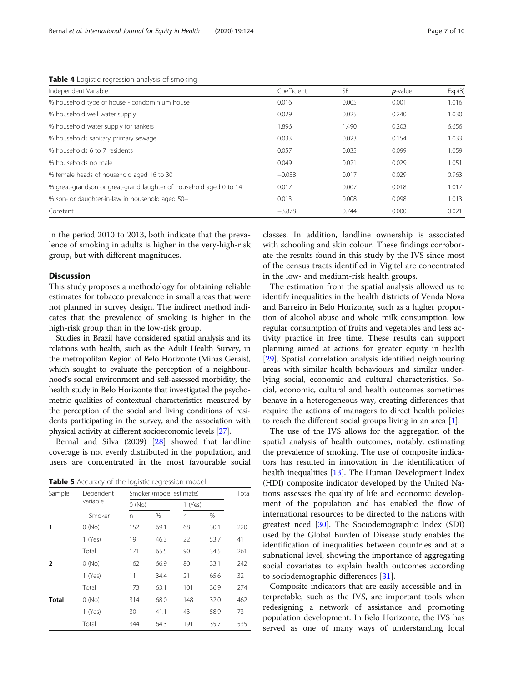| Independent Variable                                              | Coefficient | <b>SE</b> | $p$ -value | Exp(B) |
|-------------------------------------------------------------------|-------------|-----------|------------|--------|
| % household type of house - condominium house                     | 0.016       | 0.005     | 0.001      | 1.016  |
| % household well water supply                                     | 0.029       | 0.025     | 0.240      | 1.030  |
| % household water supply for tankers                              | 1.896       | 1.490     | 0.203      | 6.656  |
| % households sanitary primary sewage                              | 0.033       | 0.023     | 0.154      | 1.033  |
| % households 6 to 7 residents                                     | 0.057       | 0.035     | 0.099      | 1.059  |
| % households no male                                              | 0.049       | 0.021     | 0.029      | 1.051  |
| % female heads of household aged 16 to 30                         | $-0.038$    | 0.017     | 0.029      | 0.963  |
| % great-grandson or great-granddaughter of household aged 0 to 14 | 0.017       | 0.007     | 0.018      | 1.017  |
| % son- or daughter-in-law in household aged 50+                   | 0.013       | 0.008     | 0.098      | 1.013  |
| Constant                                                          | $-3.878$    | 0.744     | 0.000      | 0.021  |

<span id="page-6-0"></span>Table 4 Logistic regression analysis of smoking

in the period 2010 to 2013, both indicate that the prevalence of smoking in adults is higher in the very-high-risk group, but with different magnitudes.

#### **Discussion**

This study proposes a methodology for obtaining reliable estimates for tobacco prevalence in small areas that were not planned in survey design. The indirect method indicates that the prevalence of smoking is higher in the high-risk group than in the low-risk group.

Studies in Brazil have considered spatial analysis and its relations with health, such as the Adult Health Survey, in the metropolitan Region of Belo Horizonte (Minas Gerais), which sought to evaluate the perception of a neighbourhood's social environment and self-assessed morbidity, the health study in Belo Horizonte that investigated the psychometric qualities of contextual characteristics measured by the perception of the social and living conditions of residents participating in the survey, and the association with physical activity at different socioeconomic levels [\[27\]](#page-8-0).

Bernal and Silva (2009) [\[28](#page-9-0)] showed that landline coverage is not evenly distributed in the population, and users are concentrated in the most favourable social

Table 5 Accuracy of the logistic regression model

| Sample       | Dependent | Smoker (model estimate) | Total |     |         |     |
|--------------|-----------|-------------------------|-------|-----|---------|-----|
|              | variable  |                         | 0(No) |     | 1 (Yes) |     |
|              | Smoker    | n                       | %     | n   | %       |     |
| 1            | 0(No)     | 152                     | 69.1  | 68  | 30.1    | 220 |
|              | 1 (Yes)   | 19                      | 46.3  | 22  | 53.7    | 41  |
|              | Total     | 171                     | 65.5  | 90  | 34.5    | 261 |
| 2            | 0(No)     | 162                     | 66.9  | 80  | 33.1    | 242 |
|              | 1 (Yes)   | 11                      | 34.4  | 21  | 65.6    | 32  |
|              | Total     | 173                     | 63.1  | 101 | 36.9    | 274 |
| <b>Total</b> | 0(No)     | 314                     | 68.0  | 148 | 32.0    | 462 |
|              | 1 (Yes)   | 30                      | 41.1  | 43  | 58.9    | 73  |
|              | Total     | 344                     | 64.3  | 191 | 35.7    | 535 |

classes. In addition, landline ownership is associated with schooling and skin colour. These findings corroborate the results found in this study by the IVS since most of the census tracts identified in Vigitel are concentrated in the low- and medium-risk health groups.

The estimation from the spatial analysis allowed us to identify inequalities in the health districts of Venda Nova and Barreiro in Belo Horizonte, such as a higher proportion of alcohol abuse and whole milk consumption, low regular consumption of fruits and vegetables and less activity practice in free time. These results can support planning aimed at actions for greater equity in health [[29\]](#page-9-0). Spatial correlation analysis identified neighbouring areas with similar health behaviours and similar underlying social, economic and cultural characteristics. Social, economic, cultural and health outcomes sometimes behave in a heterogeneous way, creating differences that require the actions of managers to direct health policies to reach the different social groups living in an area [[1\]](#page-8-0).

The use of the IVS allows for the aggregation of the spatial analysis of health outcomes, notably, estimating the prevalence of smoking. The use of composite indicators has resulted in innovation in the identification of health inequalities [[13\]](#page-8-0). The Human Development Index (HDI) composite indicator developed by the United Nations assesses the quality of life and economic development of the population and has enabled the flow of international resources to be directed to the nations with greatest need [\[30](#page-9-0)]. The Sociodemographic Index (SDI) used by the Global Burden of Disease study enables the identification of inequalities between countries and at a subnational level, showing the importance of aggregating social covariates to explain health outcomes according to sociodemographic differences [\[31\]](#page-9-0).

Composite indicators that are easily accessible and interpretable, such as the IVS, are important tools when redesigning a network of assistance and promoting population development. In Belo Horizonte, the IVS has served as one of many ways of understanding local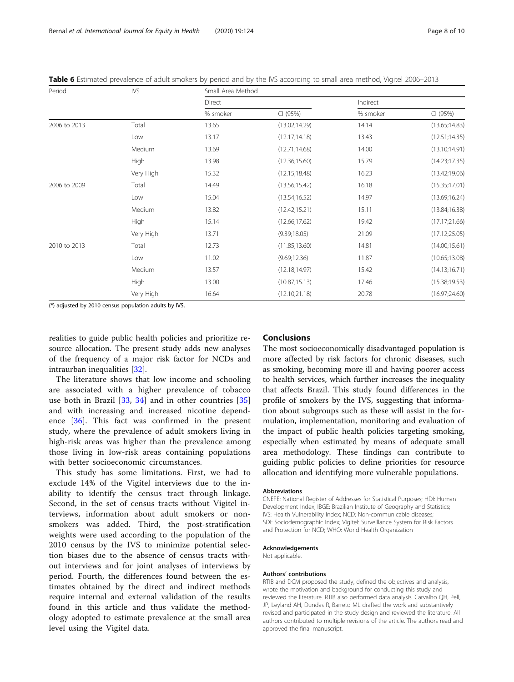| Period       | IVS       | Small Area Method |                |          |                |  |  |
|--------------|-----------|-------------------|----------------|----------|----------------|--|--|
|              |           | Direct            |                | Indirect |                |  |  |
|              |           | % smoker          | CI (95%)       | % smoker | CI (95%)       |  |  |
| 2006 to 2013 | Total     | 13.65             | (13.02; 14.29) | 14.14    | (13.65; 14.83) |  |  |
|              | Low       | 13.17             | (12.17;14.18)  | 13.43    | (12.51; 14.35) |  |  |
|              | Medium    | 13.69             | (12.71;14.68)  | 14.00    | (13.10;14.91)  |  |  |
|              | High      | 13.98             | (12.36;15.60)  | 15.79    | (14.23; 17.35) |  |  |
|              | Very High | 15.32             | (12.15;18.48)  | 16.23    | (13.42; 19.06) |  |  |
| 2006 to 2009 | Total     | 14.49             | (13.56; 15.42) | 16.18    | (15.35;17.01)  |  |  |
|              | Low       | 15.04             | (13.54;16.52)  | 14.97    | (13.69; 16.24) |  |  |
|              | Medium    | 13.82             | (12.42; 15.21) | 15.11    | (13.84;16.38)  |  |  |
|              | High      | 15.14             | (12.66; 17.62) | 19.42    | (17.17;21.66)  |  |  |
|              | Very High | 13.71             | (9.39;18.05)   | 21.09    | (17.12;25.05)  |  |  |
| 2010 to 2013 | Total     | 12.73             | (11.85;13.60)  | 14.81    | (14.00; 15.61) |  |  |
|              | Low       | 11.02             | (9.69; 12.36)  | 11.87    | (10.65; 13.08) |  |  |
|              | Medium    | 13.57             | (12.18; 14.97) | 15.42    | (14.13;16.71)  |  |  |
|              | High      | 13.00             | (10.87;15.13)  | 17.46    | (15.38; 19.53) |  |  |
|              | Very High | 16.64             | (12.10;21.18)  | 20.78    | (16.97;24.60)  |  |  |

<span id="page-7-0"></span>Table 6 Estimated prevalence of adult smokers by period and by the IVS according to small area method, Vigitel 2006–2013

(\*) adjusted by 2010 census population adults by IVS.

realities to guide public health policies and prioritize resource allocation. The present study adds new analyses of the frequency of a major risk factor for NCDs and intraurban inequalities [\[32](#page-9-0)].

The literature shows that low income and schooling are associated with a higher prevalence of tobacco use both in Brazil [[33,](#page-9-0) [34\]](#page-9-0) and in other countries [\[35](#page-9-0)] and with increasing and increased nicotine dependence [\[36](#page-9-0)]. This fact was confirmed in the present study, where the prevalence of adult smokers living in high-risk areas was higher than the prevalence among those living in low-risk areas containing populations with better socioeconomic circumstances.

This study has some limitations. First, we had to exclude 14% of the Vigitel interviews due to the inability to identify the census tract through linkage. Second, in the set of census tracts without Vigitel interviews, information about adult smokers or nonsmokers was added. Third, the post-stratification weights were used according to the population of the 2010 census by the IVS to minimize potential selection biases due to the absence of census tracts without interviews and for joint analyses of interviews by period. Fourth, the differences found between the estimates obtained by the direct and indirect methods require internal and external validation of the results found in this article and thus validate the methodology adopted to estimate prevalence at the small area level using the Vigitel data.

#### Conclusions

The most socioeconomically disadvantaged population is more affected by risk factors for chronic diseases, such as smoking, becoming more ill and having poorer access to health services, which further increases the inequality that affects Brazil. This study found differences in the profile of smokers by the IVS, suggesting that information about subgroups such as these will assist in the formulation, implementation, monitoring and evaluation of the impact of public health policies targeting smoking, especially when estimated by means of adequate small area methodology. These findings can contribute to guiding public policies to define priorities for resource allocation and identifying more vulnerable populations.

#### Abbreviations

CNEFE: National Register of Addresses for Statistical Purposes; HDI: Human Development Index; IBGE: Brazilian Institute of Geography and Statistics; IVS: Health Vulnerability Index; NCD: Non-communicable diseases; SDI: Sociodemographic Index; Vigitel: Surveillance System for Risk Factors and Protection for NCD; WHO: World Health Organization

#### Acknowledgements

Not applicable.

#### Authors' contributions

RTIB and DCM proposed the study, defined the objectives and analysis, wrote the motivation and background for conducting this study and reviewed the literature. RTIB also performed data analysis. Carvalho QH, Pell, JP, Leyland AH, Dundas R, Barreto ML drafted the work and substantively revised and participated in the study design and reviewed the literature. All authors contributed to multiple revisions of the article. The authors read and approved the final manuscript.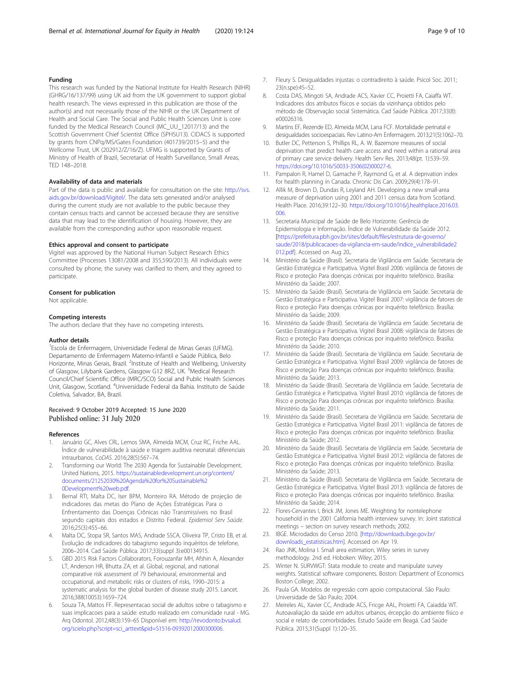#### <span id="page-8-0"></span>Funding

This research was funded by the National Institute for Health Research (NIHR) (GHRG/16/137/99) using UK aid from the UK government to support global health research. The views expressed in this publication are those of the author(s) and not necessarily those of the NIHR or the UK Department of Health and Social Care. The Social and Public Health Sciences Unit is core funded by the Medical Research Council (MC\_UU\_12017/13) and the Scottish Government Chief Scientist Office (SPHSU13). CIDACS is supported by grants from CNPq/MS/Gates Foundation (401739/2015–5) and the Wellcome Trust, UK (202912/Z/16/Z). UFMG is supported by Grants of Ministry of Health of Brazil, Secretariat of Health Surveillance, Small Areas, TED 148–2018.

#### Availability of data and materials

Part of the data is public and available for consultation on the site: [http://svs.](http://svs.aids.gov.br/download/Vigitel/) [aids.gov.br/download/Vigitel/](http://svs.aids.gov.br/download/Vigitel/). The data sets generated and/or analysed during the current study are not available to the public because they contain census tracts and cannot be accessed because they are sensitive data that may lead to the identification of housing. However, they are available from the corresponding author upon reasonable request.

#### Ethics approval and consent to participate

Vigitel was approved by the National Human Subject Research Ethics Committee (Processes 13081/2008 and 355,590/2013). All individuals were consulted by phone, the survey was clarified to them, and they agreed to participate.

#### Consent for publication

Not applicable.

#### Competing interests

The authors declare that they have no competing interests.

#### Author details

<sup>1</sup> Escola de Enfermagem, Universidade Federal de Minas Gerais (UFMG). Departamento de Enfermagem Materno-Infantil e Saúde Pública, Belo Horizonte, Minas Gerais, Brazil. <sup>2</sup>Institute of Health and Wellbeing, University of Glasgow, Lilybank Gardens, Glasgow G12 8RZ, UK. <sup>3</sup>Medical Research Council/Chief Scientific Office (MRC/SCO) Social and Public Health Sciences Unit, Glasgow, Scotland. <sup>4</sup>Universidade Federal da Bahia. Instituto de Saúde Coletiva, Salvador, BA, Brazil.

#### Received: 9 October 2019 Accepted: 15 June 2020 Published online: 31 July 2020

#### References

- 1. Januário GC, Alves CRL, Lemos SMA, Almeida MCM, Cruz RC, Friche AAL. Índice de vulnerabilidade à saúde e triagem auditiva neonatal: diferenciais intraurbanos. CoDAS. 2016;28(5):567–74.
- 2. Transforming our World: The 2030 Agenda for Sustainable Development. United Nations, 2015. [https://sustainabledevelopment.un.org/content/](https://sustainabledevelopment.un.org/content/documents/21252030%20Agenda%20for%20Sustainable%20Development%20web.pdf) [documents/21252030%20Agenda%20for%20Sustainable%2](https://sustainabledevelopment.un.org/content/documents/21252030%20Agenda%20for%20Sustainable%20Development%20web.pdf) [0Development%20web.pdf](https://sustainabledevelopment.un.org/content/documents/21252030%20Agenda%20for%20Sustainable%20Development%20web.pdf).
- 3. Bernal RTI, Malta DC, Iser BPM, Monteiro RA. Método de projeção de indicadores das metas do Plano de Ações Estratégicas Para o Enfrentamento das Doenças Crônicas não Transmissíveis no Brasil segundo capitais dos estados e Distrito Federal. Epidemiol Serv Saúde. 2016;25(3):455–66.
- Malta DC, Stopa SR, Santos MAS, Andrade SSCA, Oliveira TP, Cristo EB, et al. Evolução de indicadores do tabagismo segundo inquéritos de telefone, 2006–2014. Cad Saúde Pública. 2017;33(suppl 3):e00134915.
- 5. GBD 2015 Risk Factors Collaborators, Forouzanfar MH, Afshin A, Alexander LT, Anderson HR, Bhutta ZA, et al. Global, regional, and national comparative risk assessment of 79 behavioural, environmental and occupational, and metabolic risks or clusters of risks, 1990–2015: a systematic analysis for the global burden of disease study 2015. Lancet. 2016;388(10053):1659–724.
- 6. Souza TA, Mattos FF. Representacao social de adultos sobre o tabagismo e suas implicacoes para a saúde: estudo realizado em comunidade rural - MG. Arq Odontol. 2012;48(3):159–65 Disponível em: [http://revodonto.bvsalud.](http://revodonto.bvsalud.org/scielo.php?script=sci_arttext&pid=S1516-09392012000300006) [org/scielo.php?script=sci\\_arttext&pid=S1516-09392012000300006.](http://revodonto.bvsalud.org/scielo.php?script=sci_arttext&pid=S1516-09392012000300006)
- 7. Fleury S. Desigualdades injustas: o contradireito à saúde. Psicol Soc. 2011; 23(n.spe):45–52.
- 8. Costa DAS, Mingoti SA, Andrade ACS, Xavier CC, Proietti FA, Caiaffa WT. Indicadores dos atributos físicos e sociais da vizinhança obtidos pelo método de Observação social Sistemática. Cad Saúde Pública. 2017;33(8): e00026316.
- 9. Martins EF, Rezende ED, Almeida MCM, Lana FCF. Mortalidade perinatal e desigualdades socioespaciais. Rev Latino-Am Enfermagem. 2013;21(5):1062–70.
- 10. Butler DC, Petterson S, Phillips RL, A. W. Bazemore measures of social deprivation that predict health care access and need within a rational area of primary care service delivery. Health Serv Res. 2013;48(pt. 1):539–59. [https://doi.org/10.1016/S0033-3506\(02\)00027-6.](https://doi.org/10.1016/S0033-3506(02)00027-6)
- 11. Pampalon R, Hamel D, Gamache P, Raymond G, et al. A deprivation index for health planning in Canada. Chronic Dis Can. 2009;29(4):178–91.
- 12. Allik M, Brown D, Dundas R, Leyland AH. Developing a new small-area measure of deprivation using 2001 and 2011 census data from Scotland. Health Place. 2016;39:122–30. [https://doi.org/10.1016/j.healthplace.2016.03.](https://doi.org/10.1016/j.healthplace.2016.03.006) [006.](https://doi.org/10.1016/j.healthplace.2016.03.006)
- 13. Secretaria Municipal de Saúde de Belo Horizonte. Gerência de Epidemiologia e Informação. Índice de Vulnerabilidade da Saúde 2012. [[https://prefeitura.pbh.gov.br/sites/default/files/estrutura-de-governo/](https://prefeitura.pbh.gov.br/sites/default/files/estrutura-de-governo/saude/2018/publicacaoes-da-vigilancia-em-saude/indice_vulnerabilidade2012.pdf) [saude/2018/publicacaoes-da-vigilancia-em-saude/indice\\_vulnerabilidade2](https://prefeitura.pbh.gov.br/sites/default/files/estrutura-de-governo/saude/2018/publicacaoes-da-vigilancia-em-saude/indice_vulnerabilidade2012.pdf) [012.pdf\]](https://prefeitura.pbh.gov.br/sites/default/files/estrutura-de-governo/saude/2018/publicacaoes-da-vigilancia-em-saude/indice_vulnerabilidade2012.pdf). Accessed on Aug 20..
- 14. Ministério da Saúde (Brasil). Secretaria de Vigilância em Saúde. Secretaria de Gestão Estratégica e Participativa. Vigitel Brasil 2006: vigilância de fatores de Risco e proteção Para doenças crônicas por inquérito telefônico. Brasília: Ministério da Saúde; 2007.
- 15. Ministério da Saúde (Brasil). Secretaria de Vigilância em Saúde. Secretaria de Gestão Estratégica e Participativa. Vigitel Brasil 2007: vigilância de fatores de Risco e proteção Para doenças crônicas por inquérito telefônico. Brasília: Ministério da Saúde; 2009.
- 16. Ministério da Saúde (Brasil). Secretaria de Vigilância em Saúde. Secretaria de Gestão Estratégica e Participativa. Vigitel Brasil 2008: vigilância de fatores de Risco e proteção Para doenças crônicas por inquérito telefônico. Brasília: Ministério da Saúde; 2010.
- 17. Ministério da Saúde (Brasil). Secretaria de Vigilância em Saúde. Secretaria de Gestão Estratégica e Participativa. Vigitel Brasil 2009: vigilância de fatores de Risco e proteção Para doenças crônicas por inquérito telefônico. Brasília: Ministério da Saúde; 2013.
- 18. Ministério da Saúde (Brasil). Secretaria de Vigilância em Saúde. Secretaria de Gestão Estratégica e Participativa. Vigitel Brasil 2010: vigilância de fatores de Risco e proteção Para doenças crônicas por inquérito telefônico. Brasília: Ministério da Saúde; 2011.
- 19. Ministério da Saúde (Brasil). Secretaria de Vigilância em Saúde. Secretaria de Gestão Estratégica e Participativa. Vigitel Brasil 2011: vigilância de fatores de Risco e proteção Para doenças crônicas por inquérito telefônico. Brasília: Ministério da Saúde; 2012.
- 20. Ministério da Saúde (Brasil). Secretaria de Vigilância em Saúde. Secretaria de Gestão Estratégica e Participativa. Vigitel Brasil 2012: vigilância de fatores de Risco e proteção Para doenças crônicas por inquérito telefônico. Brasília: Ministério da Saúde; 2013.
- 21. Ministério da Saúde (Brasil). Secretaria de Vigilância em Saúde. Secretaria de Gestão Estratégica e Participativa. Vigitel Brasil 2013: vigilância de fatores de Risco e proteção Para doenças crônicas por inquérito telefônico. Brasília: Ministério da Saúde; 2014.
- 22. Flores-Cervantes I, Brick JM, Jones ME. Weighting for nontelephone household in the 2001 California health interview survey. In: Joint statistical meetings – section on survey research methods; 2002.
- 23. IBGE. Microdados do Censo 2010. [\[http://downloads.ibge.gov.br/](http://downloads.ibge.gov.br/downloads_estatisticas.htm) [downloads\\_estatisticas.htm\]](http://downloads.ibge.gov.br/downloads_estatisticas.htm). Accessed on Apr 19.
- 24. Rao JNK, Molina I. Small area estimation, Wiley series in survey methodology. 2nd ed. Hoboken: Wiley; 2015.
- 25. Winter N. SURVWGT: Stata module to create and manipulate survey weights. Statistical software components. Boston: Department of Economics Boston College; 2002.
- 26. Paula GA. Modelos de regressão com apoio computacional. São Paulo: Universidade de São Paulo; 2004.
- 27. Meireles AL, Xavier CC, Andrade ACS, Fricge AAL, Proietti FA, Caiadda WT. Autoavaliação da saúde em adultos urbanos, ércepção do ambiente físico e social e relato de comorbidades. Estudo Saúde em Beagá. Cad Saúde Pública. 2015;31(Suppl 1):120–35.